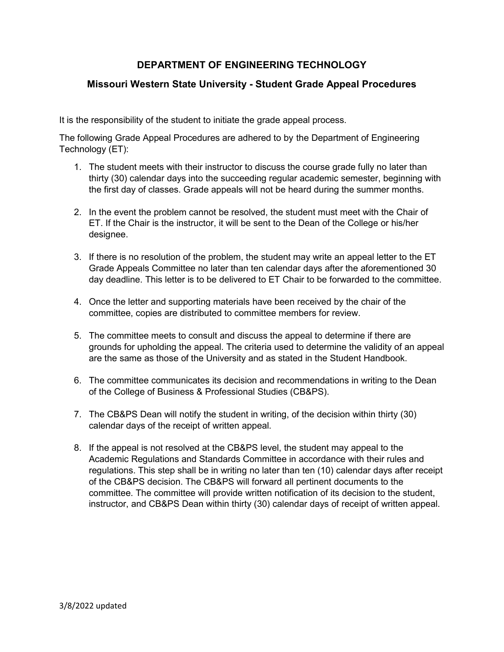# **DEPARTMENT OF ENGINEERING TECHNOLOGY**

### **Missouri Western State University - Student Grade Appeal Procedures**

It is the responsibility of the student to initiate the grade appeal process.

The following Grade Appeal Procedures are adhered to by the Department of Engineering Technology (ET):

- 1. The student meets with their instructor to discuss the course grade fully no later than thirty (30) calendar days into the succeeding regular academic semester, beginning with the first day of classes. Grade appeals will not be heard during the summer months.
- 2. In the event the problem cannot be resolved, the student must meet with the Chair of ET. If the Chair is the instructor, it will be sent to the Dean of the College or his/her designee.
- 3. If there is no resolution of the problem, the student may write an appeal letter to the ET Grade Appeals Committee no later than ten calendar days after the aforementioned 30 day deadline. This letter is to be delivered to ET Chair to be forwarded to the committee.
- 4. Once the letter and supporting materials have been received by the chair of the committee, copies are distributed to committee members for review.
- 5. The committee meets to consult and discuss the appeal to determine if there are grounds for upholding the appeal. The criteria used to determine the validity of an appeal are the same as those of the University and as stated in the Student Handbook.
- 6. The committee communicates its decision and recommendations in writing to the Dean of the College of Business & Professional Studies (CB&PS).
- 7. The CB&PS Dean will notify the student in writing, of the decision within thirty (30) calendar days of the receipt of written appeal.
- 8. If the appeal is not resolved at the CB&PS level, the student may appeal to the Academic Regulations and Standards Committee in accordance with their rules and regulations. This step shall be in writing no later than ten (10) calendar days after receipt of the CB&PS decision. The CB&PS will forward all pertinent documents to the committee. The committee will provide written notification of its decision to the student, instructor, and CB&PS Dean within thirty (30) calendar days of receipt of written appeal.